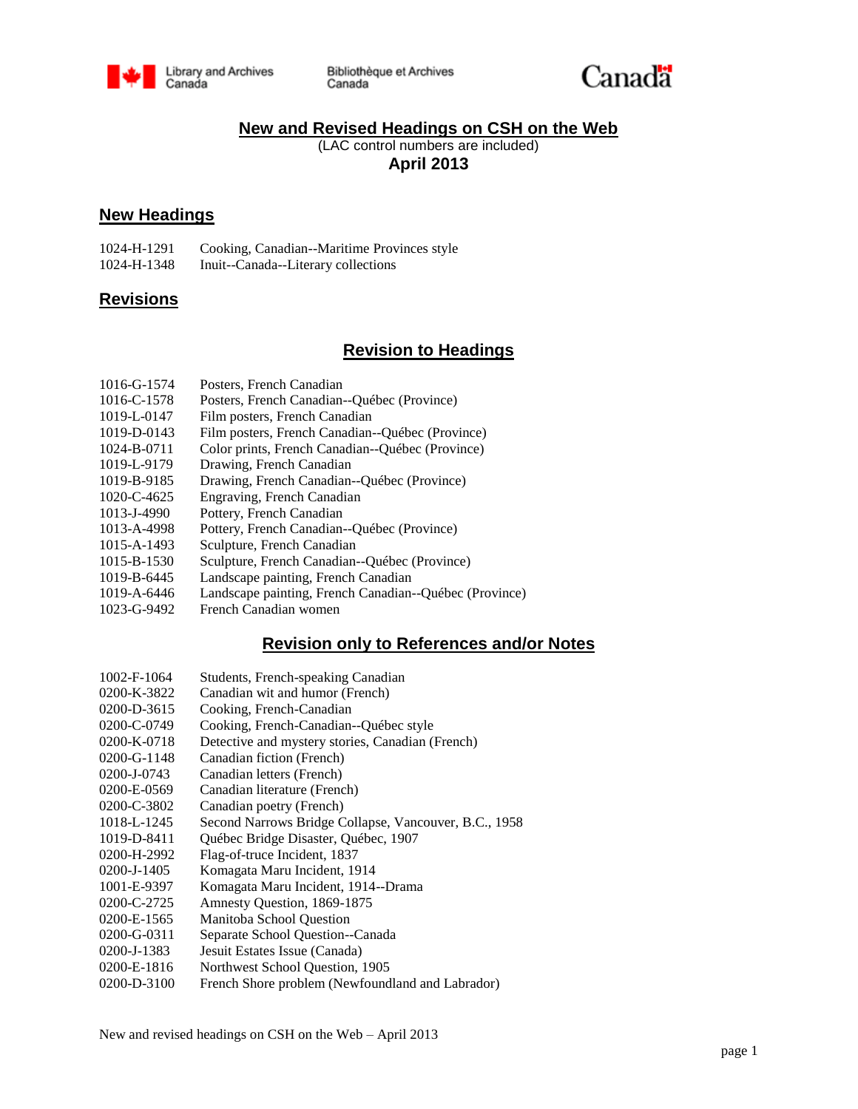

Bibliothèque et Archives Canada



## **New and Revised Headings on CSH on the Web**

(LAC control numbers are included) **April 2013**

### **New Headings**

| 1024-H-1291 | Cooking, Canadian--Maritime Provinces style |
|-------------|---------------------------------------------|
| 1024-H-1348 | Inuit--Canada--Literary collections         |

#### **Revisions**

## **Revision to Headings**

| 1016-G-1574 |  | Posters, French Canadian |
|-------------|--|--------------------------|
|             |  |                          |

- 1016-C-1578 Posters, French Canadian--Québec (Province)
- 1019-L-0147 Film posters, French Canadian
- 1019-D-0143 Film posters, French Canadian--Québec (Province)
- 1024-B-0711 Color prints, French Canadian--Québec (Province)
- 1019-L-9179 Drawing, French Canadian
- 1019-B-9185 Drawing, French Canadian--Québec (Province)
- 1020-C-4625 Engraving, French Canadian
- 1013-J-4990 Pottery, French Canadian
- 1013-A-4998 Pottery, French Canadian--Québec (Province)
- 1015-A-1493 Sculpture, French Canadian
- 1015-B-1530 Sculpture, French Canadian--Québec (Province)
- 1019-B-6445 Landscape painting, French Canadian
- 1019-A-6446 Landscape painting, French Canadian--Québec (Province)
- 1023-G-9492 French Canadian women

## **Revision only to References and/or Notes**

- 1002-F-1064 Students, French-speaking Canadian
- 0200-K-3822 Canadian wit and humor (French)
- 0200-D-3615 Cooking, French-Canadian
- 0200-C-0749 Cooking, French-Canadian--Québec style
- 0200-K-0718 Detective and mystery stories, Canadian (French)
- 0200-G-1148 Canadian fiction (French)
- 0200-J-0743 Canadian letters (French)
- 0200-E-0569 Canadian literature (French)
- 0200-C-3802 Canadian poetry (French)
- 1018-L-1245 Second Narrows Bridge Collapse, Vancouver, B.C., 1958
- 1019-D-8411 Québec Bridge Disaster, Québec, 1907
- 0200-H-2992 Flag-of-truce Incident, 1837
- 0200-J-1405 Komagata Maru Incident, 1914
- 1001-E-9397 Komagata Maru Incident, 1914--Drama
- 0200-C-2725 Amnesty Question, 1869-1875
- 0200-E-1565 Manitoba School Question
- 0200-G-0311 Separate School Question--Canada
- 0200-J-1383 Jesuit Estates Issue (Canada)
- 0200-E-1816 Northwest School Question, 1905
- 0200-D-3100 French Shore problem (Newfoundland and Labrador)